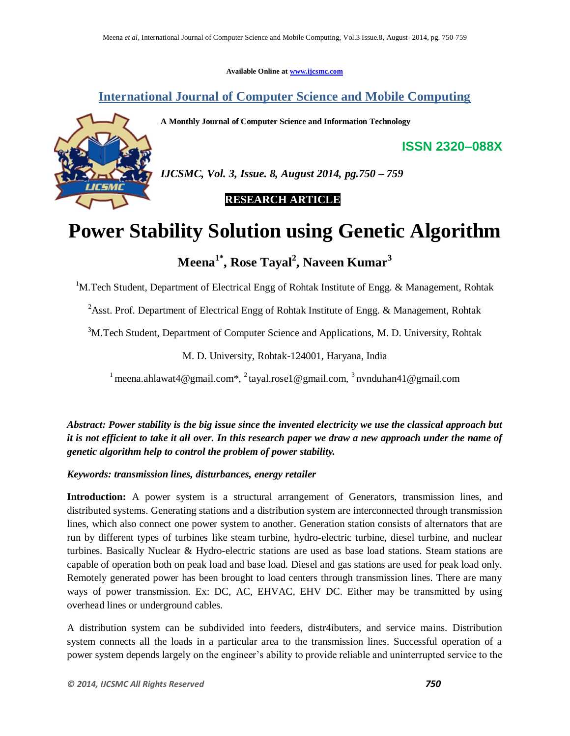**Available Online at www.ijcsmc.com**

**International Journal of Computer Science and Mobile Computing**

**A Monthly Journal of Computer Science and Information Technology**



*IJCSMC, Vol. 3, Issue. 8, August 2014, pg.750 – 759*

 **RESEARCH ARTICLE**

# **Power Stability Solution using Genetic Algorithm**

**Meena1\*, Rose Tayal<sup>2</sup> , Naveen Kumar<sup>3</sup>**

<sup>1</sup>M.Tech Student, Department of Electrical Engg of Rohtak Institute of Engg. & Management, Rohtak

<sup>2</sup> Asst. Prof. Department of Electrical Engg of Rohtak Institute of Engg. & Management, Rohtak

 $3M$ .Tech Student, Department of Computer Science and Applications, M. D. University, Rohtak

M. D. University, Rohtak-124001, Haryana, India

<sup>1</sup> meena.ahlawat4@gmail.com<sup>\*, 2</sup>tayal.rose1@gmail.com, <sup>3</sup> nvnduhan41@gmail.com

*Abstract: Power stability is the big issue since the invented electricity we use the classical approach but it is not efficient to take it all over. In this research paper we draw a new approach under the name of genetic algorithm help to control the problem of power stability.*

### *Keywords: transmission lines, disturbances, energy retailer*

**Introduction:** A power system is a structural arrangement of Generators, transmission lines, and distributed systems. Generating stations and a distribution system are interconnected through transmission lines, which also connect one power system to another. Generation station consists of alternators that are run by different types of turbines like steam turbine, hydro-electric turbine, diesel turbine, and nuclear turbines. Basically Nuclear & Hydro-electric stations are used as base load stations. Steam stations are capable of operation both on peak load and base load. Diesel and gas stations are used for peak load only. Remotely generated power has been brought to load centers through transmission lines. There are many ways of power transmission. Ex: DC, AC, EHVAC, EHV DC. Either may be transmitted by using overhead lines or underground cables.

A distribution system can be subdivided into feeders, distr4ibuters, and service mains. Distribution system connects all the loads in a particular area to the transmission lines. Successful operation of a power system depends largely on the engineer's ability to provide reliable and uninterrupted service to the

**ISSN 2320–088X**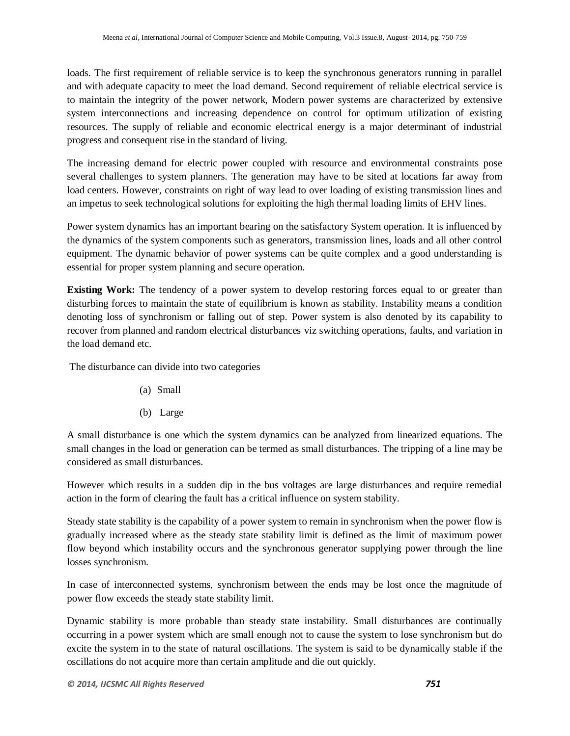loads. The first requirement of reliable service is to keep the synchronous generators running in parallel and with adequate capacity to meet the load demand. Second requirement of reliable electrical service is to maintain the integrity of the power network, Modern power systems are characterized by extensive system interconnections and increasing dependence on control for optimum utilization of existing resources. The supply of reliable and economic electrical energy is a major determinant of industrial progress and consequent rise in the standard of living.

The increasing demand for electric power coupled with resource and environmental constraints pose several challenges to system planners. The generation may have to be sited at locations far away from load centers. However, constraints on right of way lead to over loading of existing transmission lines and an impetus to seek technological solutions for exploiting the high thermal loading limits of EHV lines.

Power system dynamics has an important bearing on the satisfactory System operation. It is influenced by the dynamics of the system components such as generators, transmission lines, loads and all other control equipment. The dynamic behavior of power systems can be quite complex and a good understanding is essential for proper system planning and secure operation.

**Existing Work:** The tendency of a power system to develop restoring forces equal to or greater than disturbing forces to maintain the state of equilibrium is known as stability. Instability means a condition denoting loss of synchronism or falling out of step. Power system is also denoted by its capability to recover from planned and random electrical disturbances viz switching operations, faults, and variation in the load demand etc.

The disturbance can divide into two categories

- (a) Small
- (b) Large

A small disturbance is one which the system dynamics can be analyzed from linearized equations. The small changes in the load or generation can be termed as small disturbances. The tripping of a line may be considered as small disturbances.

However which results in a sudden dip in the bus voltages are large disturbances and require remedial action in the form of clearing the fault has a critical influence on system stability.

Steady state stability is the capability of a power system to remain in synchronism when the power flow is gradually increased where as the steady state stability limit is defined as the limit of maximum power flow beyond which instability occurs and the synchronous generator supplying power through the line losses synchronism.

In case of interconnected systems, synchronism between the ends may be lost once the magnitude of power flow exceeds the steady state stability limit.

Dynamic stability is more probable than steady state instability. Small disturbances are continually occurring in a power system which are small enough not to cause the system to lose synchronism but do excite the system in to the state of natural oscillations. The system is said to be dynamically stable if the oscillations do not acquire more than certain amplitude and die out quickly.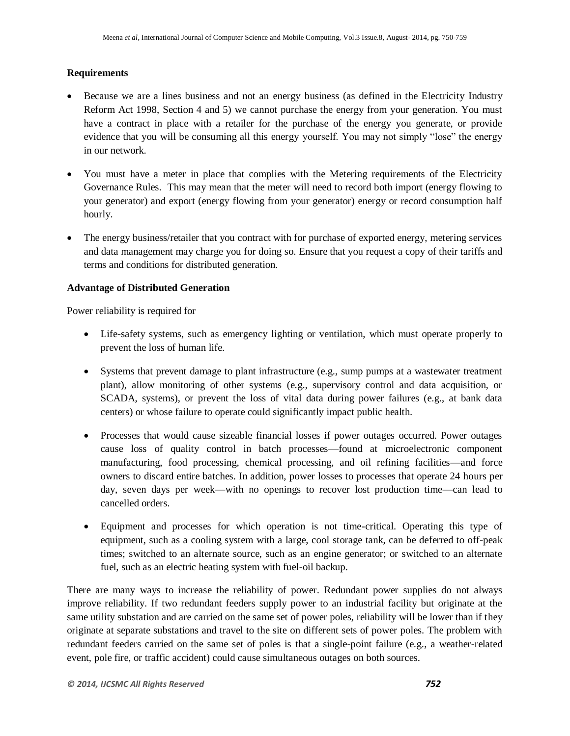# **Requirements**

- Because we are a lines business and not an energy business (as defined in the Electricity Industry Reform Act 1998, Section 4 and 5) we cannot purchase the energy from your generation. You must have a contract in place with a retailer for the purchase of the energy you generate, or provide evidence that you will be consuming all this energy yourself. You may not simply "lose" the energy in our network.
- You must have a meter in place that complies with the Metering requirements of the Electricity Governance Rules. This may mean that the meter will need to record both import (energy flowing to your generator) and export (energy flowing from your generator) energy or record consumption half hourly.
- The energy business/retailer that you contract with for purchase of exported energy, metering services and data management may charge you for doing so. Ensure that you request a copy of their tariffs and terms and conditions for distributed generation.

# **Advantage of Distributed Generation**

Power reliability is required for

- Life-safety systems, such as emergency lighting or ventilation, which must operate properly to prevent the loss of human life.
- Systems that prevent damage to plant infrastructure (e.g., sump pumps at a wastewater treatment plant), allow monitoring of other systems (e.g., supervisory control and data acquisition, or SCADA, systems), or prevent the loss of vital data during power failures (e.g., at bank data centers) or whose failure to operate could significantly impact public health.
- Processes that would cause sizeable financial losses if power outages occurred. Power outages cause loss of quality control in batch processes—found at microelectronic component manufacturing, food processing, chemical processing, and oil refining facilities—and force owners to discard entire batches. In addition, power losses to processes that operate 24 hours per day, seven days per week—with no openings to recover lost production time—can lead to cancelled orders.
- Equipment and processes for which operation is not time-critical. Operating this type of equipment, such as a cooling system with a large, cool storage tank, can be deferred to off-peak times; switched to an alternate source, such as an engine generator; or switched to an alternate fuel, such as an electric heating system with fuel-oil backup.

There are many ways to increase the reliability of power. Redundant power supplies do not always improve reliability. If two redundant feeders supply power to an industrial facility but originate at the same utility substation and are carried on the same set of power poles, reliability will be lower than if they originate at separate substations and travel to the site on different sets of power poles. The problem with redundant feeders carried on the same set of poles is that a single-point failure (e.g., a weather-related event, pole fire, or traffic accident) could cause simultaneous outages on both sources.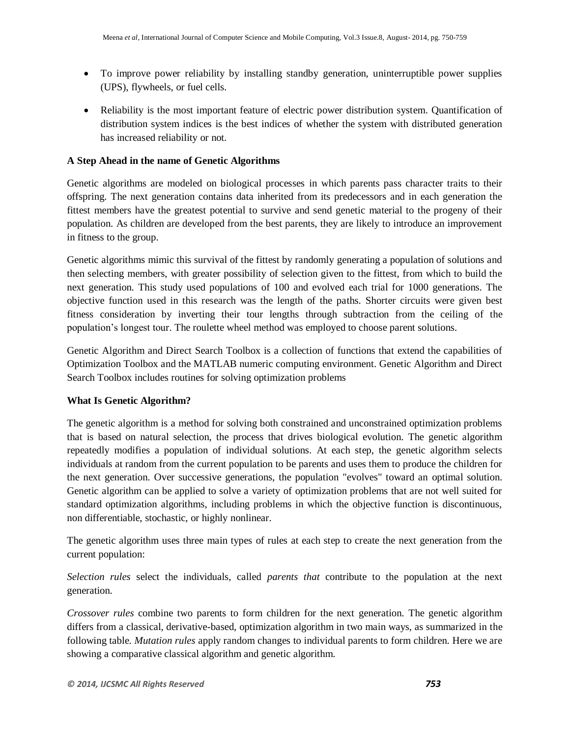- To improve power reliability by installing standby generation, uninterruptible power supplies (UPS), flywheels, or fuel cells.
- Reliability is the most important feature of electric power distribution system. Quantification of distribution system indices is the best indices of whether the system with distributed generation has increased reliability or not.

# **A Step Ahead in the name of Genetic Algorithms**

Genetic algorithms are modeled on biological processes in which parents pass character traits to their offspring. The next generation contains data inherited from its predecessors and in each generation the fittest members have the greatest potential to survive and send genetic material to the progeny of their population. As children are developed from the best parents, they are likely to introduce an improvement in fitness to the group.

Genetic algorithms mimic this survival of the fittest by randomly generating a population of solutions and then selecting members, with greater possibility of selection given to the fittest, from which to build the next generation. This study used populations of 100 and evolved each trial for 1000 generations. The objective function used in this research was the length of the paths. Shorter circuits were given best fitness consideration by inverting their tour lengths through subtraction from the ceiling of the population's longest tour. The roulette wheel method was employed to choose parent solutions.

Genetic Algorithm and Direct Search Toolbox is a collection of functions that extend the capabilities of Optimization Toolbox and the MATLAB numeric computing environment. Genetic Algorithm and Direct Search Toolbox includes routines for solving optimization problems

# **What Is Genetic Algorithm?**

The genetic algorithm is a method for solving both constrained and unconstrained optimization problems that is based on natural selection, the process that drives biological evolution. The genetic algorithm repeatedly modifies a population of individual solutions. At each step, the genetic algorithm selects individuals at random from the current population to be parents and uses them to produce the children for the next generation. Over successive generations, the population "evolves" toward an optimal solution. Genetic algorithm can be applied to solve a variety of optimization problems that are not well suited for standard optimization algorithms, including problems in which the objective function is discontinuous, non differentiable, stochastic, or highly nonlinear.

The genetic algorithm uses three main types of rules at each step to create the next generation from the current population:

*Selection rules* select the individuals, called *parents that* contribute to the population at the next generation.

*Crossover rules* combine two parents to form children for the next generation. The genetic algorithm differs from a classical, derivative-based, optimization algorithm in two main ways, as summarized in the following table. *Mutation rules* apply random changes to individual parents to form children. Here we are showing a comparative classical algorithm and genetic algorithm.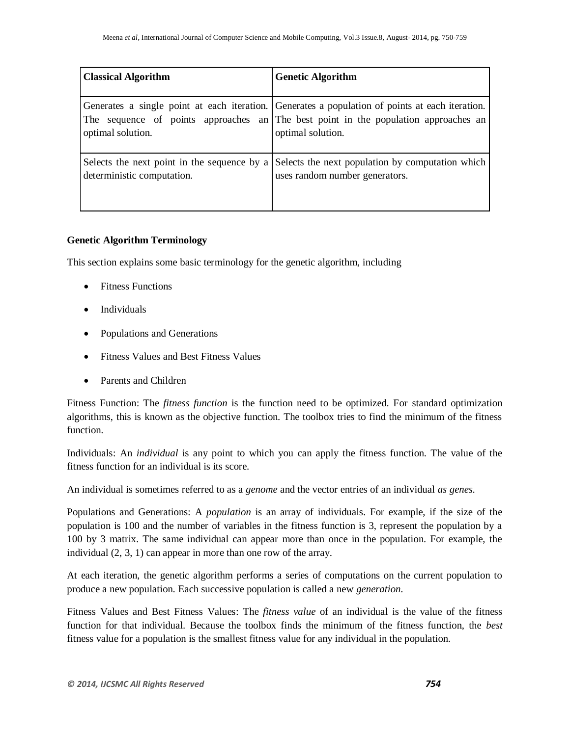| <b>Classical Algorithm</b>                                                | <b>Genetic Algorithm</b>                                                                                                                                                                                    |
|---------------------------------------------------------------------------|-------------------------------------------------------------------------------------------------------------------------------------------------------------------------------------------------------------|
| optimal solution.                                                         | Generates a single point at each iteration. Generates a population of points at each iteration.<br>The sequence of points approaches an The best point in the population approaches an<br>optimal solution. |
| Selects the next point in the sequence by a<br>deterministic computation. | Selects the next population by computation which<br>uses random number generators.                                                                                                                          |

### **Genetic Algorithm Terminology**

This section explains some basic terminology for the genetic algorithm, including

- Fitness Functions
- Individuals
- Populations and Generations
- Fitness Values and Best Fitness Values
- Parents and Children

Fitness Function: The *fitness function* is the function need to be optimized. For standard optimization algorithms, this is known as the objective function. The toolbox tries to find the minimum of the fitness function.

Individuals: An *individual* is any point to which you can apply the fitness function. The value of the fitness function for an individual is its score.

An individual is sometimes referred to as a *genome* and the vector entries of an individual *as genes.*

Populations and Generations: A *population* is an array of individuals. For example, if the size of the population is 100 and the number of variables in the fitness function is 3, represent the population by a 100 by 3 matrix. The same individual can appear more than once in the population. For example, the individual (2, 3, 1) can appear in more than one row of the array.

At each iteration, the genetic algorithm performs a series of computations on the current population to produce a new population. Each successive population is called a new *generation.*

Fitness Values and Best Fitness Values: The *fitness value* of an individual is the value of the fitness function for that individual. Because the toolbox finds the minimum of the fitness function, the *best* fitness value for a population is the smallest fitness value for any individual in the population.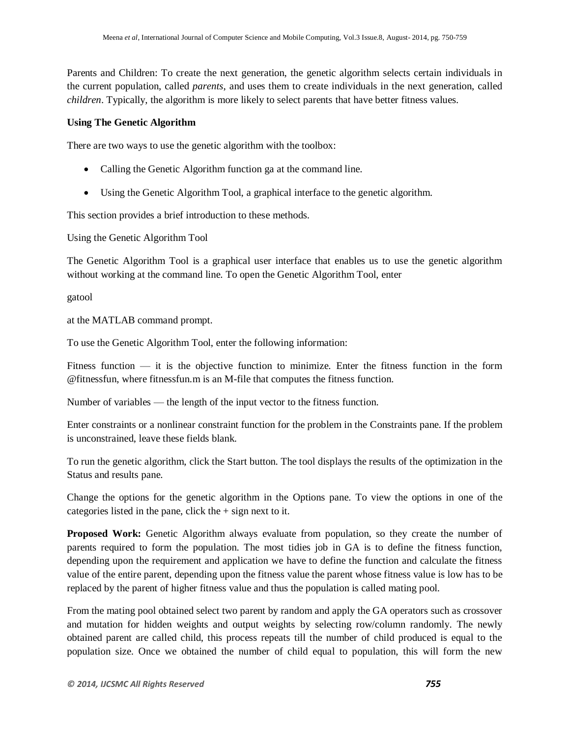Parents and Children: To create the next generation, the genetic algorithm selects certain individuals in the current population, called *parents*, and uses them to create individuals in the next generation, called *children*. Typically, the algorithm is more likely to select parents that have better fitness values.

# **Using The Genetic Algorithm**

There are two ways to use the genetic algorithm with the toolbox:

- Calling the Genetic Algorithm function ga at the command line.
- Using the Genetic Algorithm Tool, a graphical interface to the genetic algorithm.

This section provides a brief introduction to these methods.

Using the Genetic Algorithm Tool

The Genetic Algorithm Tool is a graphical user interface that enables us to use the genetic algorithm without working at the command line. To open the Genetic Algorithm Tool, enter

gatool

at the MATLAB command prompt.

To use the Genetic Algorithm Tool, enter the following information:

Fitness function — it is the objective function to minimize. Enter the fitness function in the form @fitnessfun, where fitnessfun.m is an M-file that computes the fitness function.

Number of variables — the length of the input vector to the fitness function.

Enter constraints or a nonlinear constraint function for the problem in the Constraints pane. If the problem is unconstrained, leave these fields blank.

To run the genetic algorithm, click the Start button. The tool displays the results of the optimization in the Status and results pane.

Change the options for the genetic algorithm in the Options pane. To view the options in one of the categories listed in the pane, click the  $+$  sign next to it.

**Proposed Work:** Genetic Algorithm always evaluate from population, so they create the number of parents required to form the population. The most tidies job in GA is to define the fitness function, depending upon the requirement and application we have to define the function and calculate the fitness value of the entire parent, depending upon the fitness value the parent whose fitness value is low has to be replaced by the parent of higher fitness value and thus the population is called mating pool.

From the mating pool obtained select two parent by random and apply the GA operators such as crossover and mutation for hidden weights and output weights by selecting row/column randomly. The newly obtained parent are called child, this process repeats till the number of child produced is equal to the population size. Once we obtained the number of child equal to population, this will form the new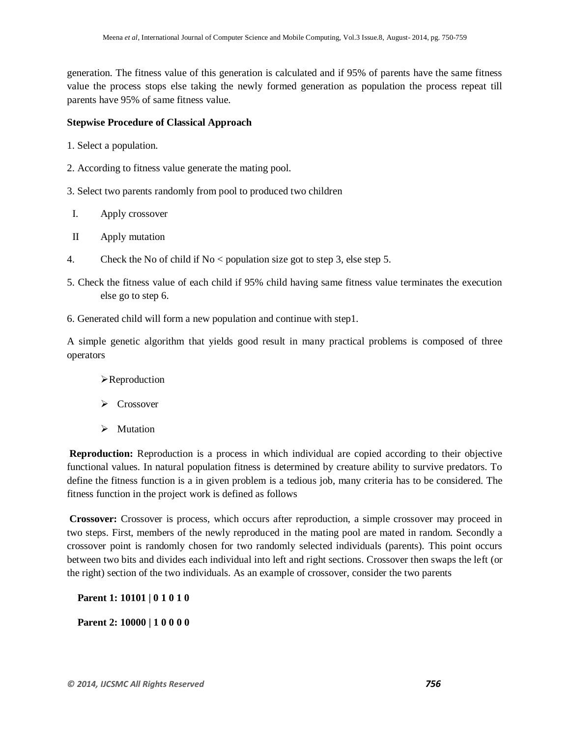generation. The fitness value of this generation is calculated and if 95% of parents have the same fitness value the process stops else taking the newly formed generation as population the process repeat till parents have 95% of same fitness value.

# **Stepwise Procedure of Classical Approach**

- 1. Select a population.
- 2. According to fitness value generate the mating pool.
- 3. Select two parents randomly from pool to produced two children
- I. Apply crossover
- II Apply mutation
- 4. Check the No of child if No < population size got to step 3, else step 5.
- 5. Check the fitness value of each child if 95% child having same fitness value terminates the execution else go to step 6.
- 6. Generated child will form a new population and continue with step1.

A simple genetic algorithm that yields good result in many practical problems is composed of three operators

- **Example**
- $\triangleright$  Crossover
- $\triangleright$  Mutation

**Reproduction:** Reproduction is a process in which individual are copied according to their objective functional values. In natural population fitness is determined by creature ability to survive predators. To define the fitness function is a in given problem is a tedious job, many criteria has to be considered. The fitness function in the project work is defined as follows

**Crossover:** Crossover is process, which occurs after reproduction, a simple crossover may proceed in two steps. First, members of the newly reproduced in the mating pool are mated in random. Secondly a crossover point is randomly chosen for two randomly selected individuals (parents). This point occurs between two bits and divides each individual into left and right sections. Crossover then swaps the left (or the right) section of the two individuals. As an example of crossover, consider the two parents

**Parent 1: 10101 | 0 1 0 1 0**

 **Parent 2: 10000 | 1 0 0 0 0**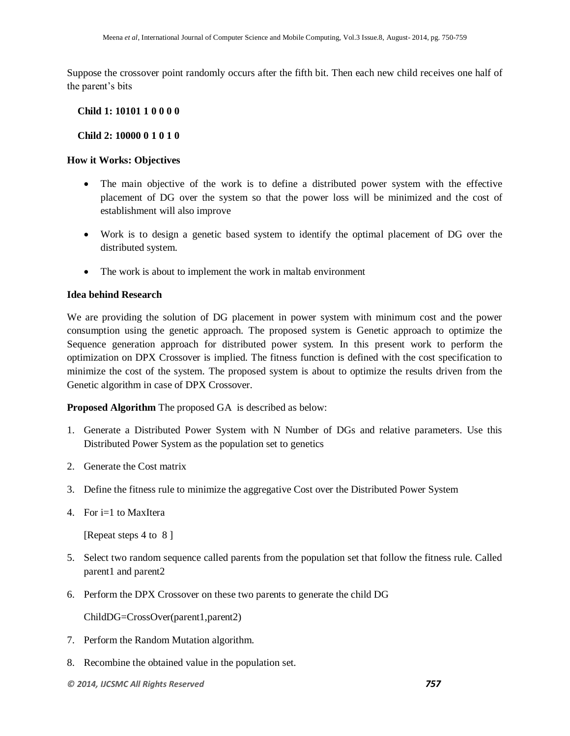Suppose the crossover point randomly occurs after the fifth bit. Then each new child receives one half of the parent's bits

**Child 1: 10101 1 0 0 0 0**

 **Child 2: 10000 0 1 0 1 0**

#### **How it Works: Objectives**

- The main objective of the work is to define a distributed power system with the effective placement of DG over the system so that the power loss will be minimized and the cost of establishment will also improve
- Work is to design a genetic based system to identify the optimal placement of DG over the distributed system.
- The work is about to implement the work in maltab environment

### **Idea behind Research**

We are providing the solution of DG placement in power system with minimum cost and the power consumption using the genetic approach. The proposed system is Genetic approach to optimize the Sequence generation approach for distributed power system. In this present work to perform the optimization on DPX Crossover is implied. The fitness function is defined with the cost specification to minimize the cost of the system. The proposed system is about to optimize the results driven from the Genetic algorithm in case of DPX Crossover.

**Proposed Algorithm** The proposed GA is described as below:

- 1. Generate a Distributed Power System with N Number of DGs and relative parameters. Use this Distributed Power System as the population set to genetics
- 2. Generate the Cost matrix
- 3. Define the fitness rule to minimize the aggregative Cost over the Distributed Power System
- 4. For i=1 to MaxItera

[Repeat steps 4 to 8 ]

- 5. Select two random sequence called parents from the population set that follow the fitness rule. Called parent1 and parent2
- 6. Perform the DPX Crossover on these two parents to generate the child DG

ChildDG=CrossOver(parent1,parent2)

- 7. Perform the Random Mutation algorithm.
- 8. Recombine the obtained value in the population set.
- *© 2014, IJCSMC All Rights Reserved 757*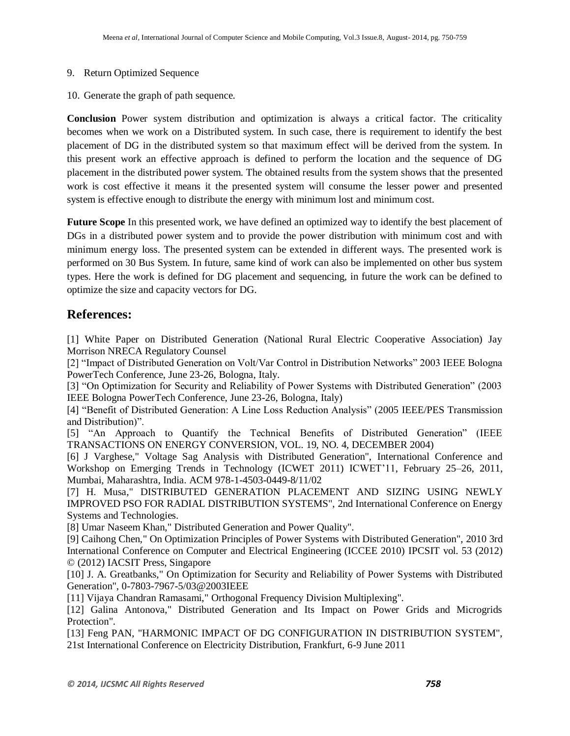## 9. Return Optimized Sequence

10. Generate the graph of path sequence.

**Conclusion** Power system distribution and optimization is always a critical factor. The criticality becomes when we work on a Distributed system. In such case, there is requirement to identify the best placement of DG in the distributed system so that maximum effect will be derived from the system. In this present work an effective approach is defined to perform the location and the sequence of DG placement in the distributed power system. The obtained results from the system shows that the presented work is cost effective it means it the presented system will consume the lesser power and presented system is effective enough to distribute the energy with minimum lost and minimum cost.

**Future Scope** In this presented work, we have defined an optimized way to identify the best placement of DGs in a distributed power system and to provide the power distribution with minimum cost and with minimum energy loss. The presented system can be extended in different ways. The presented work is performed on 30 Bus System. In future, same kind of work can also be implemented on other bus system types. Here the work is defined for DG placement and sequencing, in future the work can be defined to optimize the size and capacity vectors for DG.

# **References:**

[1] White Paper on Distributed Generation (National Rural Electric Cooperative Association) Jay Morrison NRECA Regulatory Counsel

[2] "Impact of Distributed Generation on Volt/Var Control in Distribution Networks" 2003 IEEE Bologna PowerTech Conference, June 23-26, Bologna, Italy.

[3] "On Optimization for Security and Reliability of Power Systems with Distributed Generation" (2003) IEEE Bologna PowerTech Conference, June 23-26, Bologna, Italy)

[4] "Benefit of Distributed Generation: A Line Loss Reduction Analysis" (2005 IEEE/PES Transmission and Distribution)".

[5] "An Approach to Quantify the Technical Benefits of Distributed Generation" (IEEE TRANSACTIONS ON ENERGY CONVERSION, VOL. 19, NO. 4, DECEMBER 2004)

[6] J Varghese," Voltage Sag Analysis with Distributed Generation", International Conference and Workshop on Emerging Trends in Technology (ICWET 2011) ICWET'11, February 25–26, 2011, Mumbai, Maharashtra, India. ACM 978-1-4503-0449-8/11/02

[7] H. Musa," DISTRIBUTED GENERATION PLACEMENT AND SIZING USING NEWLY IMPROVED PSO FOR RADIAL DISTRIBUTION SYSTEMS", 2nd International Conference on Energy Systems and Technologies.

[8] Umar Naseem Khan," Distributed Generation and Power Quality".

[9] Caihong Chen," On Optimization Principles of Power Systems with Distributed Generation", 2010 3rd International Conference on Computer and Electrical Engineering (ICCEE 2010) IPCSIT vol. 53 (2012) © (2012) IACSIT Press, Singapore

[10] J. A. Greatbanks," On Optimization for Security and Reliability of Power Systems with Distributed Generation", 0-7803-7967-5/03@2003IEEE

[11] Vijaya Chandran Ramasami," Orthogonal Frequency Division Multiplexing".

[12] Galina Antonova," Distributed Generation and Its Impact on Power Grids and Microgrids Protection".

[13] Feng PAN, "HARMONIC IMPACT OF DG CONFIGURATION IN DISTRIBUTION SYSTEM", 21st International Conference on Electricity Distribution, Frankfurt, 6-9 June 2011